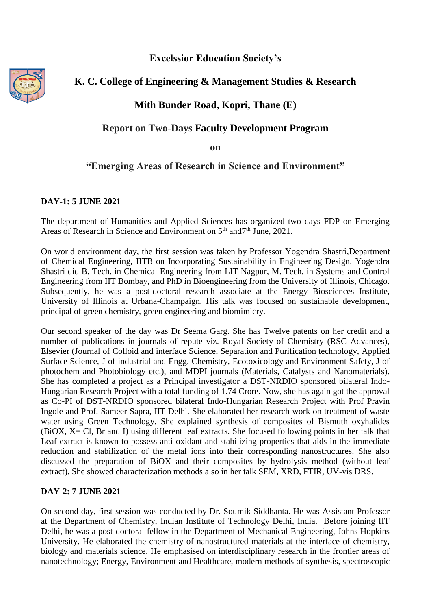## **Excelssior Education Society's**



# **Mith Bunder Road, Kopri, Thane (E)**

## **Report on Two-Days Faculty Development Program**

**on** 

### **"Emerging Areas of Research in Science and Environment"**

### **DAY-1: 5 JUNE 2021**

The department of Humanities and Applied Sciences has organized two days FDP on Emerging Areas of Research in Science and Environment on 5<sup>th</sup> and 7<sup>th</sup> June, 2021.

On world environment day, the first session was taken by Professor Yogendra Shastri,Department of Chemical Engineering, IITB on Incorporating Sustainability in Engineering Design. Yogendra Shastri did B. Tech. in Chemical Engineering from LIT Nagpur, M. Tech. in Systems and Control Engineering from IIT Bombay, and PhD in Bioengineering from the University of Illinois, Chicago. Subsequently, he was a post-doctoral research associate at the Energy Biosciences Institute, University of Illinois at Urbana-Champaign. His talk was focused on sustainable development, principal of green chemistry, green engineering and biomimicry.

Our second speaker of the day was Dr Seema Garg. She has Twelve patents on her credit and a number of publications in journals of repute viz. Royal Society of Chemistry (RSC Advances), Elsevier (Journal of Colloid and interface Science, Separation and Purification technology, Applied Surface Science, J of industrial and Engg. Chemistry, Ecotoxicology and Environment Safety, J of photochem and Photobiology etc.), and MDPI journals (Materials, Catalysts and Nanomaterials). She has completed a project as a Principal investigator a DST-NRDIO sponsored bilateral Indo-Hungarian Research Project with a total funding of 1.74 Crore. Now, she has again got the approval as Co-PI of DST-NRDIO sponsored bilateral Indo-Hungarian Research Project with Prof Pravin Ingole and Prof. Sameer Sapra, IIT Delhi. She elaborated her research work on treatment of waste water using Green Technology. She explained synthesis of composites of Bismuth oxyhalides (BiOX, X= Cl, Br and I) using different leaf extracts. She focused following points in her talk that Leaf extract is known to possess anti-oxidant and stabilizing properties that aids in the immediate reduction and stabilization of the metal ions into their corresponding nanostructures. She also discussed the preparation of BiOX and their composites by hydrolysis method (without leaf extract). She showed characterization methods also in her talk SEM, XRD, FTIR, UV-vis DRS.

### **DAY-2: 7 JUNE 2021**

On second day, first session was conducted by Dr. Soumik Siddhanta. He was Assistant Professor at the Department of Chemistry, Indian Institute of Technology Delhi, India. Before joining IIT Delhi, he was a post-doctoral fellow in the Department of Mechanical Engineering, Johns Hopkins University. He elaborated the chemistry of nanostructured materials at the interface of chemistry, biology and materials science. He emphasised on interdisciplinary research in the frontier areas of nanotechnology; Energy, Environment and Healthcare, modern methods of synthesis, spectroscopic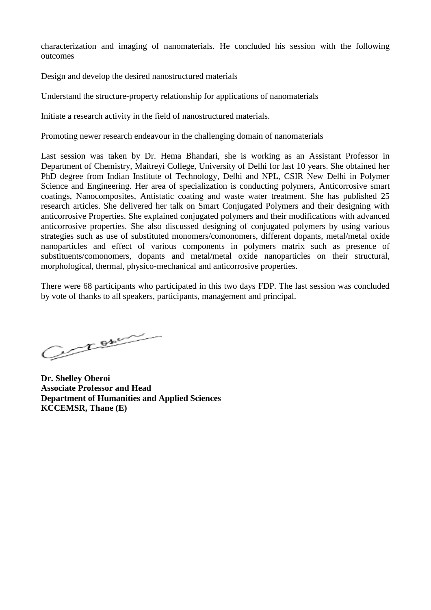characterization and imaging of nanomaterials. He concluded his session with the following outcomes

Design and develop the desired nanostructured materials

Understand the structure-property relationship for applications of nanomaterials

Initiate a research activity in the field of nanostructured materials.

Promoting newer research endeavour in the challenging domain of nanomaterials

Last session was taken by Dr. Hema Bhandari, she is working as an Assistant Professor in Department of Chemistry, Maitreyi College, University of Delhi for last 10 years. She obtained her PhD degree from Indian Institute of Technology, Delhi and NPL, CSIR New Delhi in Polymer Science and Engineering. Her area of specialization is conducting polymers, Anticorrosive smart coatings, Nanocomposites, Antistatic coating and waste water treatment. She has published 25 research articles. She delivered her talk on Smart Conjugated Polymers and their designing with anticorrosive Properties. She explained conjugated polymers and their modifications with advanced anticorrosive properties. She also discussed designing of conjugated polymers by using various strategies such as use of substituted monomers/comonomers, different dopants, metal/metal oxide nanoparticles and effect of various components in polymers matrix such as presence of substituents/comonomers, dopants and metal/metal oxide nanoparticles on their structural, morphological, thermal, physico-mechanical and anticorrosive properties.

There were 68 participants who participated in this two days FDP. The last session was concluded by vote of thanks to all speakers, participants, management and principal.

Convention

**Dr. Shelley Oberoi Associate Professor and Head Department of Humanities and Applied Sciences KCCEMSR, Thane (E)**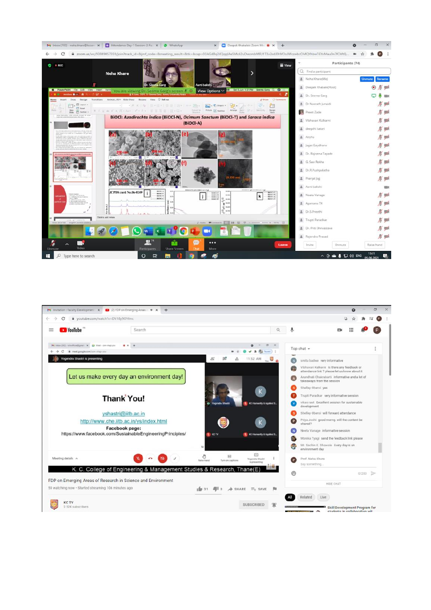

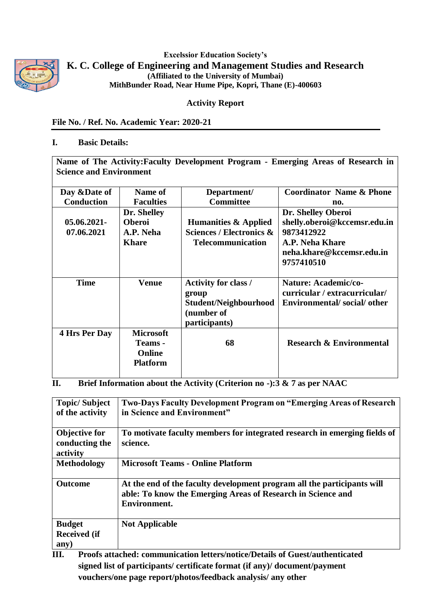

**Excelssior Education Society's K. C. College of Engineering and Management Studies and Research (Affiliated to the University of Mumbai) MithBunder Road, Near Hume Pipe, Kopri, Thane (E)-400603**

#### **Activity Report**

#### **File No. / Ref. No. Academic Year: 2020-21**

#### **I. Basic Details:**

**Name of The Activity:Faculty Development Program - Emerging Areas of Research in Science and Environment**

| Day & Date of             | Name of                                                                | Department/                                                                                  | <b>Coordinator Name &amp; Phone</b>                                                                                            |
|---------------------------|------------------------------------------------------------------------|----------------------------------------------------------------------------------------------|--------------------------------------------------------------------------------------------------------------------------------|
| <b>Conduction</b>         | <b>Faculties</b>                                                       | <b>Committee</b>                                                                             | no.                                                                                                                            |
| 05.06.2021-<br>07.06.2021 | Dr. Shelley<br><b>Oberoi</b><br>A.P. Neha<br><b>Khare</b>              | <b>Humanities &amp; Applied</b><br>Sciences / Electronics &<br><b>Telecommunication</b>      | Dr. Shelley Oberoi<br>shelly.oberoi@kccemsr.edu.in<br>9873412922<br>A.P. Neha Khare<br>neha.khare@kccemsr.edu.in<br>9757410510 |
| <b>Time</b>               | Venue                                                                  | <b>Activity for class /</b><br>group<br>Student/Neighbourhood<br>(number of<br>participants) | Nature: Academic/co-<br>curricular / extracurricular/<br>Environmental/social/other                                            |
| <b>4 Hrs Per Day</b>      | <b>Microsoft</b><br><b>Teams</b> -<br><b>Online</b><br><b>Platform</b> | 68                                                                                           | <b>Research &amp; Environmental</b>                                                                                            |

**II. Brief Information about the Activity (Criterion no -):3 & 7 as per NAAC**

| <b>Topic/Subject</b><br>of the activity      | <b>Two-Days Faculty Development Program on "Emerging Areas of Research</b><br>in Science and Environment"                                              |
|----------------------------------------------|--------------------------------------------------------------------------------------------------------------------------------------------------------|
| Objective for<br>conducting the<br>activity  | To motivate faculty members for integrated research in emerging fields of<br>science.                                                                  |
| <b>Methodology</b>                           | <b>Microsoft Teams - Online Platform</b>                                                                                                               |
| <b>Outcome</b>                               | At the end of the faculty development program all the participants will<br>able: To know the Emerging Areas of Research in Science and<br>Environment. |
| <b>Budget</b><br><b>Received (if</b><br>any) | <b>Not Applicable</b>                                                                                                                                  |

**III. Proofs attached: communication letters/notice/Details of Guest/authenticated signed list of participants/ certificate format (if any)/ document/payment vouchers/one page report/photos/feedback analysis/ any other**